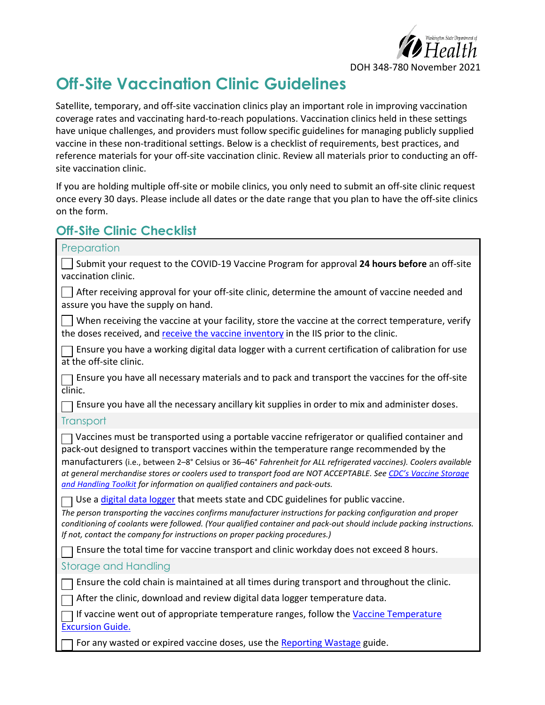

DOH 348-780 November 2021

## **Off-Site Vaccination Clinic Guidelines**

Satellite, temporary, and off-site vaccination clinics play an important role in improving vaccination coverage rates and vaccinating hard-to-reach populations. Vaccination clinics held in these settings have unique challenges, and providers must follow specific guidelines for managing publicly supplied vaccine in these non-traditional settings. Below is a checklist of requirements, best practices, and reference materials for your off-site vaccination clinic. Review all materials prior to conducting an offsite vaccination clinic.

If you are holding multiple off-site or mobile clinics, you only need to submit an off-site clinic request once every 30 days. Please include all dates or the date range that you plan to have the off-site clinics on the form.

## **Off-Site Clinic Checklist**

| Preparation                                                                                                                                                                                                                                                                                                                                                                                                                                                                                                  |
|--------------------------------------------------------------------------------------------------------------------------------------------------------------------------------------------------------------------------------------------------------------------------------------------------------------------------------------------------------------------------------------------------------------------------------------------------------------------------------------------------------------|
| Submit your request to the COVID-19 Vaccine Program for approval 24 hours before an off-site<br>vaccination clinic.                                                                                                                                                                                                                                                                                                                                                                                          |
| After receiving approval for your off-site clinic, determine the amount of vaccine needed and<br>assure you have the supply on hand.                                                                                                                                                                                                                                                                                                                                                                         |
| When receiving the vaccine at your facility, store the vaccine at the correct temperature, verify<br>the doses received, and receive the vaccine inventory in the IIS prior to the clinic.                                                                                                                                                                                                                                                                                                                   |
| Ensure you have a working digital data logger with a current certification of calibration for use<br>at the off-site clinic.                                                                                                                                                                                                                                                                                                                                                                                 |
| Ensure you have all necessary materials and to pack and transport the vaccines for the off-site<br>$\overline{\text{clinic}}$ .                                                                                                                                                                                                                                                                                                                                                                              |
| Ensure you have all the necessary ancillary kit supplies in order to mix and administer doses.                                                                                                                                                                                                                                                                                                                                                                                                               |
| Transport                                                                                                                                                                                                                                                                                                                                                                                                                                                                                                    |
| Vaccines must be transported using a portable vaccine refrigerator or qualified container and<br>pack-out designed to transport vaccines within the temperature range recommended by the<br>manufacturers (i.e., between 2-8° Celsius or 36-46° Fahrenheit for ALL refrigerated vaccines). Coolers available<br>at general merchandise stores or coolers used to transport food are NOT ACCEPTABLE. See CDC's Vaccine Storage<br>and Handling Toolkit for information on qualified containers and pack-outs. |
| Use a digital data logger that meets state and CDC guidelines for public vaccine.<br>The person transporting the vaccines confirms manufacturer instructions for packing configuration and proper<br>conditioning of coolants were followed. (Your qualified container and pack-out should include packing instructions.<br>If not, contact the company for instructions on proper packing procedures.)                                                                                                      |
| Ensure the total time for vaccine transport and clinic workday does not exceed 8 hours.                                                                                                                                                                                                                                                                                                                                                                                                                      |
| <b>Storage and Handling</b>                                                                                                                                                                                                                                                                                                                                                                                                                                                                                  |
| Ensure the cold chain is maintained at all times during transport and throughout the clinic.                                                                                                                                                                                                                                                                                                                                                                                                                 |
| After the clinic, download and review digital data logger temperature data.                                                                                                                                                                                                                                                                                                                                                                                                                                  |
| If vaccine went out of appropriate temperature ranges, follow the Vaccine Temperature<br><b>Excursion Guide.</b>                                                                                                                                                                                                                                                                                                                                                                                             |
| For any wasted or expired vaccine doses, use the Reporting Wastage guide.                                                                                                                                                                                                                                                                                                                                                                                                                                    |